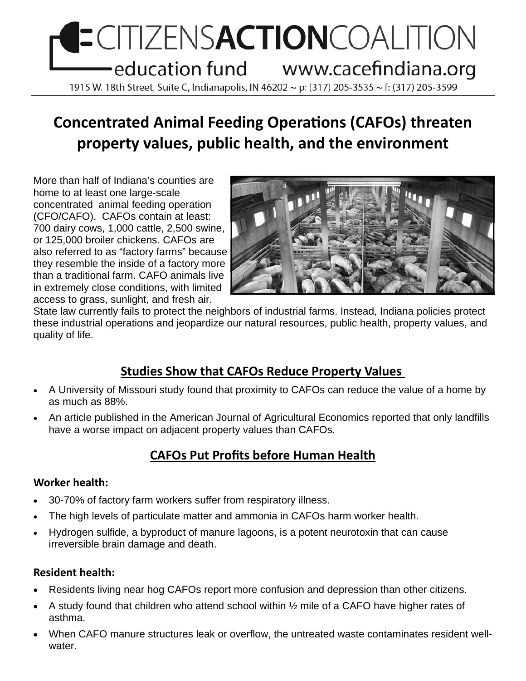# **ECITIZENSACTIONCOALITION** education fund www.cacefindiana.org 1915 W. 18th Street, Suite C, Indianapolis, IN 46202 ~ p: (317) 205-3535 ~ f: (317) 205-3599

# **Concentrated Animal Feeding OperaƟons (CAFOs) threaten property values, public health, and the environment**

More than half of Indiana's counties are home to at least one large-scale concentrated animal feeding operation (CFO/CAFO). CAFOs contain at least: 700 dairy cows, 1,000 cattle, 2,500 swine, or 125,000 broiler chickens. CAFOs are also referred to as "factory farms" because they resemble the inside of a factory more than a traditional farm. CAFO animals live in extremely close conditions, with limited access to grass, sunlight, and fresh air.



State law currently fails to protect the neighbors of industrial farms. Instead, Indiana policies protect these industrial operations and jeopardize our natural resources, public health, property values, and quality of life.

# **Studies Show that CAFOs Reduce Property Values**

- A University of Missouri study found that proximity to CAFOs can reduce the value of a home by as much as 88%.
- An article published in the American Journal of Agricultural Economics reported that only landfills have a worse impact on adjacent property values than CAFOs.

# **CAFOs Put Profits before Human Health**

#### **Worker health:**

- 30-70% of factory farm workers suffer from respiratory illness.
- The high levels of particulate matter and ammonia in CAFOs harm worker health.
- Hydrogen sulfide, a byproduct of manure lagoons, is a potent neurotoxin that can cause irreversible brain damage and death.

#### **Resident health:**

- Residents living near hog CAFOs report more confusion and depression than other citizens.
- A study found that children who attend school within ½ mile of a CAFO have higher rates of asthma.
- When CAFO manure structures leak or overflow, the untreated waste contaminates resident wellwater.